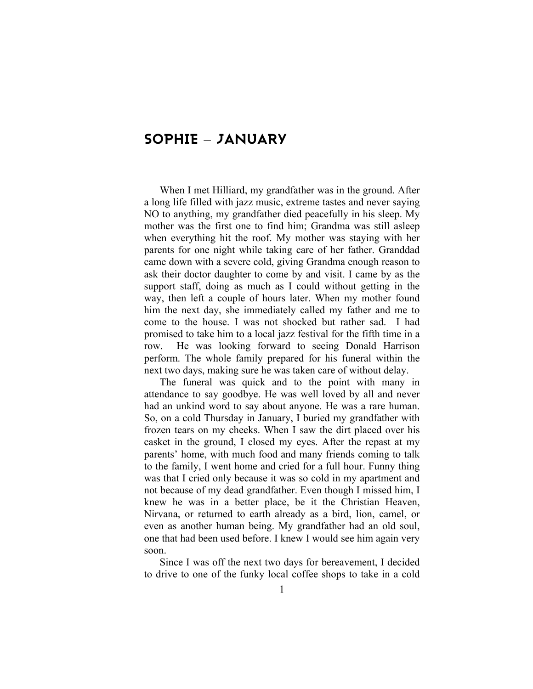# **SOPHIE** – **JANUARY**

When I met Hilliard, my grandfather was in the ground. After a long life filled with jazz music, extreme tastes and never saying NO to anything, my grandfather died peacefully in his sleep. My mother was the first one to find him; Grandma was still asleep when everything hit the roof. My mother was staying with her parents for one night while taking care of her father. Granddad came down with a severe cold, giving Grandma enough reason to ask their doctor daughter to come by and visit. I came by as the support staff, doing as much as I could without getting in the way, then left a couple of hours later. When my mother found him the next day, she immediately called my father and me to come to the house. I was not shocked but rather sad. I had promised to take him to a local jazz festival for the fifth time in a row. He was looking forward to seeing Donald Harrison perform. The whole family prepared for his funeral within the next two days, making sure he was taken care of without delay.

The funeral was quick and to the point with many in attendance to say goodbye. He was well loved by all and never had an unkind word to say about anyone. He was a rare human. So, on a cold Thursday in January, I buried my grandfather with frozen tears on my cheeks. When I saw the dirt placed over his casket in the ground, I closed my eyes. After the repast at my parents' home, with much food and many friends coming to talk to the family, I went home and cried for a full hour. Funny thing was that I cried only because it was so cold in my apartment and not because of my dead grandfather. Even though I missed him, I knew he was in a better place, be it the Christian Heaven, Nirvana, or returned to earth already as a bird, lion, camel, or even as another human being. My grandfather had an old soul, one that had been used before. I knew I would see him again very soon.

Since I was off the next two days for bereavement, I decided to drive to one of the funky local coffee shops to take in a cold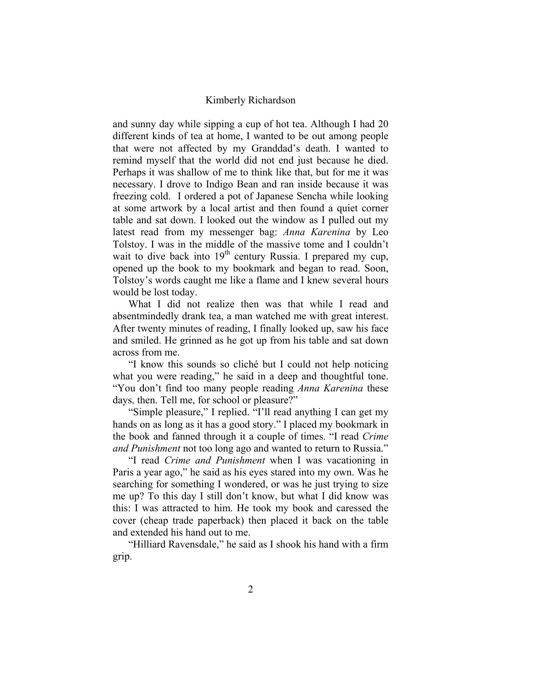and sunny day while sipping a cup of hot tea. Although I had 20 different kinds of tea at home, I wanted to be out among people that were not affected by my Granddad's death. I wanted to remind myself that the world did not end just because he died. Perhaps it was shallow of me to think like that, but for me it was necessary. I drove to Indigo Bean and ran inside because it was freezing cold. I ordered a pot of Japanese Sencha while looking at some artwork by a local artist and then found a quiet corner table and sat down. I looked out the window as I pulled out my latest read from my messenger bag: *Anna Karenina* by Leo Tolstoy. I was in the middle of the massive tome and I couldn't wait to dive back into  $19<sup>th</sup>$  century Russia. I prepared my cup, opened up the book to my bookmark and began to read. Soon, Tolstoy's words caught me like a flame and I knew several hours would be lost today.

What I did not realize then was that while I read and absentmindedly drank tea, a man watched me with great interest. After twenty minutes of reading, I finally looked up, saw his face and smiled. He grinned as he got up from his table and sat down across from me.

"I know this sounds so cliché but I could not help noticing what you were reading," he said in a deep and thoughtful tone. "You don't find too many people reading *Anna Karenina* these days, then. Tell me, for school or pleasure?"

"Simple pleasure," I replied. "I'll read anything I can get my hands on as long as it has a good story." I placed my bookmark in the book and fanned through it a couple of times. "I read *Crime and Punishment* not too long ago and wanted to return to Russia."

"I read *Crime and Punishment* when I was vacationing in Paris a year ago," he said as his eyes stared into my own. Was he searching for something I wondered, or was he just trying to size me up? To this day I still don't know, but what I did know was this: I was attracted to him. He took my book and caressed the cover (cheap trade paperback) then placed it back on the table and extended his hand out to me.

"Hilliard Ravensdale," he said as I shook his hand with a firm grip.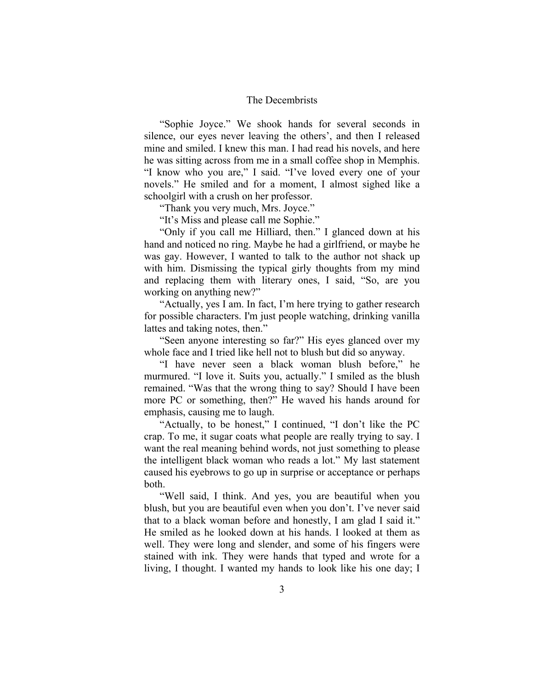"Sophie Joyce." We shook hands for several seconds in silence, our eyes never leaving the others', and then I released mine and smiled. I knew this man. I had read his novels, and here he was sitting across from me in a small coffee shop in Memphis. "I know who you are," I said. "I've loved every one of your novels." He smiled and for a moment, I almost sighed like a schoolgirl with a crush on her professor.

"Thank you very much, Mrs. Joyce."

"It's Miss and please call me Sophie."

"Only if you call me Hilliard, then." I glanced down at his hand and noticed no ring. Maybe he had a girlfriend, or maybe he was gay. However, I wanted to talk to the author not shack up with him. Dismissing the typical girly thoughts from my mind and replacing them with literary ones, I said, "So, are you working on anything new?"

"Actually, yes I am. In fact, I'm here trying to gather research for possible characters. I'm just people watching, drinking vanilla lattes and taking notes, then."

"Seen anyone interesting so far?" His eyes glanced over my whole face and I tried like hell not to blush but did so anyway.

"I have never seen a black woman blush before," he murmured. "I love it. Suits you, actually." I smiled as the blush remained. "Was that the wrong thing to say? Should I have been more PC or something, then?" He waved his hands around for emphasis, causing me to laugh.

"Actually, to be honest," I continued, "I don't like the PC crap. To me, it sugar coats what people are really trying to say. I want the real meaning behind words, not just something to please the intelligent black woman who reads a lot." My last statement caused his eyebrows to go up in surprise or acceptance or perhaps both.

"Well said, I think. And yes, you are beautiful when you blush, but you are beautiful even when you don't. I've never said that to a black woman before and honestly, I am glad I said it." He smiled as he looked down at his hands. I looked at them as well. They were long and slender, and some of his fingers were stained with ink. They were hands that typed and wrote for a living, I thought. I wanted my hands to look like his one day; I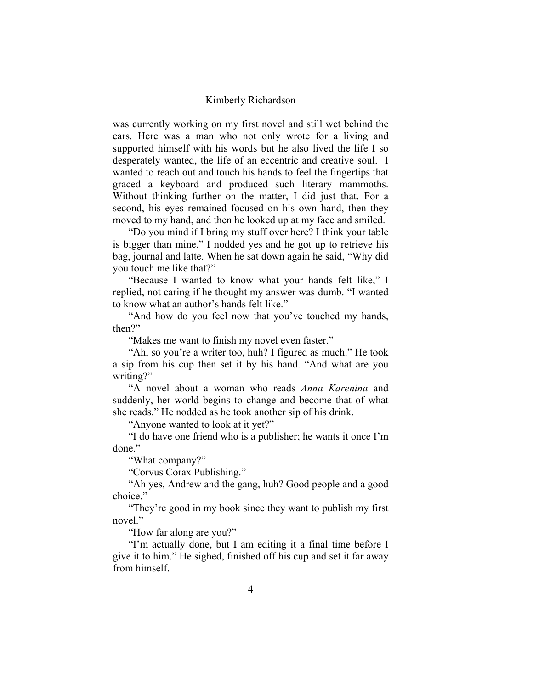was currently working on my first novel and still wet behind the ears. Here was a man who not only wrote for a living and supported himself with his words but he also lived the life I so desperately wanted, the life of an eccentric and creative soul. I wanted to reach out and touch his hands to feel the fingertips that graced a keyboard and produced such literary mammoths. Without thinking further on the matter, I did just that. For a second, his eyes remained focused on his own hand, then they moved to my hand, and then he looked up at my face and smiled.

"Do you mind if I bring my stuff over here? I think your table is bigger than mine." I nodded yes and he got up to retrieve his bag, journal and latte. When he sat down again he said, "Why did you touch me like that?"

"Because I wanted to know what your hands felt like," I replied, not caring if he thought my answer was dumb. "I wanted to know what an author's hands felt like."

"And how do you feel now that you've touched my hands, then?"

"Makes me want to finish my novel even faster."

"Ah, so you're a writer too, huh? I figured as much." He took a sip from his cup then set it by his hand. "And what are you writing?"

"A novel about a woman who reads *Anna Karenina* and suddenly, her world begins to change and become that of what she reads." He nodded as he took another sip of his drink.

"Anyone wanted to look at it yet?"

"I do have one friend who is a publisher; he wants it once I'm done"

"What company?"

"Corvus Corax Publishing."

"Ah yes, Andrew and the gang, huh? Good people and a good choice."

"They're good in my book since they want to publish my first novel."

"How far along are you?"

"I'm actually done, but I am editing it a final time before I give it to him." He sighed, finished off his cup and set it far away from himself.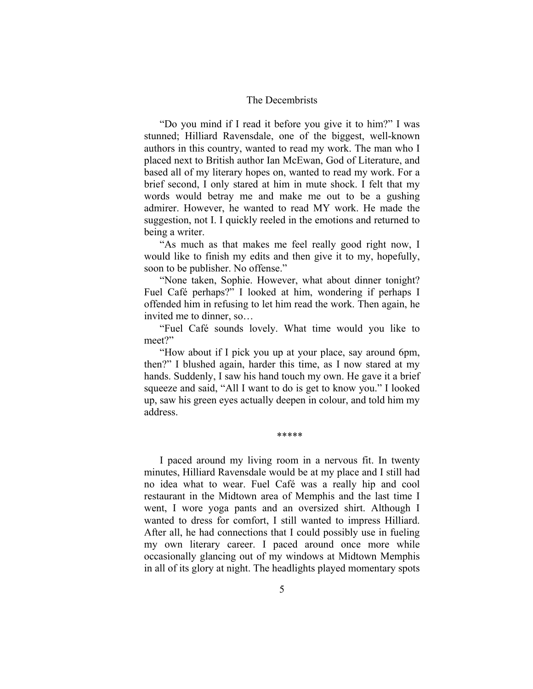"Do you mind if I read it before you give it to him?" I was stunned; Hilliard Ravensdale, one of the biggest, well-known authors in this country, wanted to read my work. The man who I placed next to British author Ian McEwan, God of Literature, and based all of my literary hopes on, wanted to read my work. For a brief second, I only stared at him in mute shock. I felt that my words would betray me and make me out to be a gushing admirer. However, he wanted to read MY work. He made the suggestion, not I. I quickly reeled in the emotions and returned to being a writer.

"As much as that makes me feel really good right now, I would like to finish my edits and then give it to my, hopefully, soon to be publisher. No offense."

"None taken, Sophie. However, what about dinner tonight? Fuel Café perhaps?" I looked at him, wondering if perhaps I offended him in refusing to let him read the work. Then again, he invited me to dinner, so…

"Fuel Café sounds lovely. What time would you like to meet?"

"How about if I pick you up at your place, say around 6pm, then?" I blushed again, harder this time, as I now stared at my hands. Suddenly, I saw his hand touch my own. He gave it a brief squeeze and said, "All I want to do is get to know you." I looked up, saw his green eyes actually deepen in colour, and told him my address.

\*\*\*\*\*

I paced around my living room in a nervous fit. In twenty minutes, Hilliard Ravensdale would be at my place and I still had no idea what to wear. Fuel Café was a really hip and cool restaurant in the Midtown area of Memphis and the last time I went, I wore yoga pants and an oversized shirt. Although I wanted to dress for comfort, I still wanted to impress Hilliard. After all, he had connections that I could possibly use in fueling my own literary career. I paced around once more while occasionally glancing out of my windows at Midtown Memphis in all of its glory at night. The headlights played momentary spots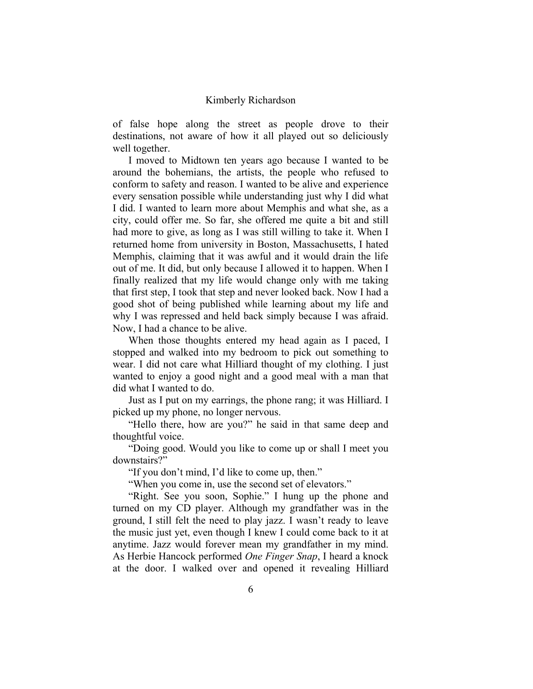of false hope along the street as people drove to their destinations, not aware of how it all played out so deliciously well together.

I moved to Midtown ten years ago because I wanted to be around the bohemians, the artists, the people who refused to conform to safety and reason. I wanted to be alive and experience every sensation possible while understanding just why I did what I did. I wanted to learn more about Memphis and what she, as a city, could offer me. So far, she offered me quite a bit and still had more to give, as long as I was still willing to take it. When I returned home from university in Boston, Massachusetts, I hated Memphis, claiming that it was awful and it would drain the life out of me. It did, but only because I allowed it to happen. When I finally realized that my life would change only with me taking that first step, I took that step and never looked back. Now I had a good shot of being published while learning about my life and why I was repressed and held back simply because I was afraid. Now, I had a chance to be alive.

When those thoughts entered my head again as I paced, I stopped and walked into my bedroom to pick out something to wear. I did not care what Hilliard thought of my clothing. I just wanted to enjoy a good night and a good meal with a man that did what I wanted to do.

Just as I put on my earrings, the phone rang; it was Hilliard. I picked up my phone, no longer nervous.

"Hello there, how are you?" he said in that same deep and thoughtful voice.

"Doing good. Would you like to come up or shall I meet you downstairs?"

"If you don't mind, I'd like to come up, then."

"When you come in, use the second set of elevators."

"Right. See you soon, Sophie." I hung up the phone and turned on my CD player. Although my grandfather was in the ground, I still felt the need to play jazz. I wasn't ready to leave the music just yet, even though I knew I could come back to it at anytime. Jazz would forever mean my grandfather in my mind. As Herbie Hancock performed *One Finger Snap*, I heard a knock at the door. I walked over and opened it revealing Hilliard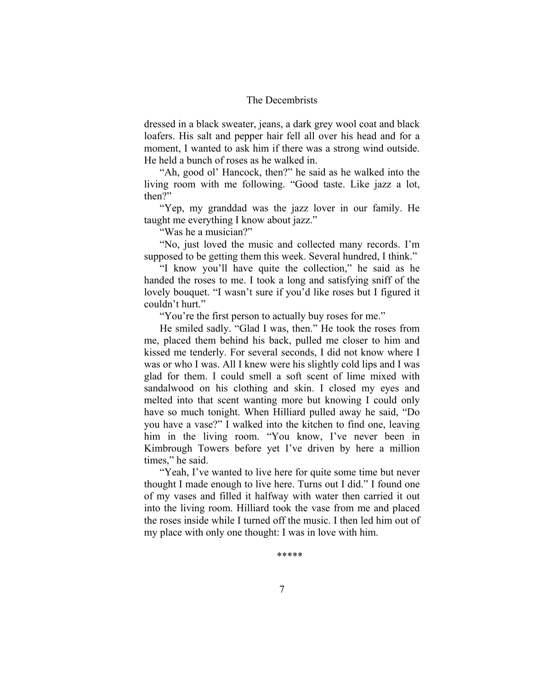dressed in a black sweater, jeans, a dark grey wool coat and black loafers. His salt and pepper hair fell all over his head and for a moment, I wanted to ask him if there was a strong wind outside. He held a bunch of roses as he walked in.

"Ah, good ol' Hancock, then?" he said as he walked into the living room with me following. "Good taste. Like jazz a lot, then?"

"Yep, my granddad was the jazz lover in our family. He taught me everything I know about jazz."

"Was he a musician?"

"No, just loved the music and collected many records. I'm supposed to be getting them this week. Several hundred, I think."

"I know you'll have quite the collection," he said as he handed the roses to me. I took a long and satisfying sniff of the lovely bouquet. "I wasn't sure if you'd like roses but I figured it couldn't hurt."

"You're the first person to actually buy roses for me."

He smiled sadly. "Glad I was, then." He took the roses from me, placed them behind his back, pulled me closer to him and kissed me tenderly. For several seconds, I did not know where I was or who I was. All I knew were his slightly cold lips and I was glad for them. I could smell a soft scent of lime mixed with sandalwood on his clothing and skin. I closed my eyes and melted into that scent wanting more but knowing I could only have so much tonight. When Hilliard pulled away he said, "Do you have a vase?" I walked into the kitchen to find one, leaving him in the living room. "You know, I've never been in Kimbrough Towers before yet I've driven by here a million times," he said.

"Yeah, I've wanted to live here for quite some time but never thought I made enough to live here. Turns out I did." I found one of my vases and filled it halfway with water then carried it out into the living room. Hilliard took the vase from me and placed the roses inside while I turned off the music. I then led him out of my place with only one thought: I was in love with him.

\*\*\*\*\*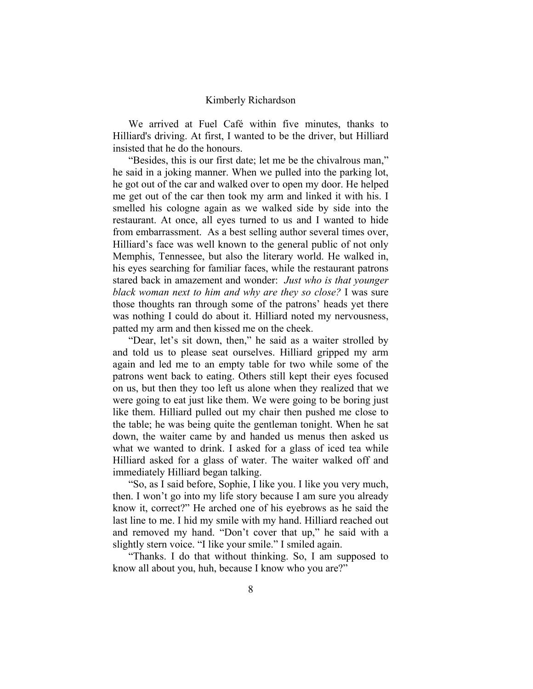We arrived at Fuel Café within five minutes, thanks to Hilliard's driving. At first, I wanted to be the driver, but Hilliard insisted that he do the honours.

"Besides, this is our first date; let me be the chivalrous man," he said in a joking manner. When we pulled into the parking lot, he got out of the car and walked over to open my door. He helped me get out of the car then took my arm and linked it with his. I smelled his cologne again as we walked side by side into the restaurant. At once, all eyes turned to us and I wanted to hide from embarrassment. As a best selling author several times over, Hilliard's face was well known to the general public of not only Memphis, Tennessee, but also the literary world. He walked in, his eyes searching for familiar faces, while the restaurant patrons stared back in amazement and wonder: *Just who is that younger black woman next to him and why are they so close?* I was sure those thoughts ran through some of the patrons' heads yet there was nothing I could do about it. Hilliard noted my nervousness, patted my arm and then kissed me on the cheek.

"Dear, let's sit down, then," he said as a waiter strolled by and told us to please seat ourselves. Hilliard gripped my arm again and led me to an empty table for two while some of the patrons went back to eating. Others still kept their eyes focused on us, but then they too left us alone when they realized that we were going to eat just like them. We were going to be boring just like them. Hilliard pulled out my chair then pushed me close to the table; he was being quite the gentleman tonight. When he sat down, the waiter came by and handed us menus then asked us what we wanted to drink. I asked for a glass of iced tea while Hilliard asked for a glass of water. The waiter walked off and immediately Hilliard began talking.

"So, as I said before, Sophie, I like you. I like you very much, then. I won't go into my life story because I am sure you already know it, correct?" He arched one of his eyebrows as he said the last line to me. I hid my smile with my hand. Hilliard reached out and removed my hand. "Don't cover that up," he said with a slightly stern voice. "I like your smile." I smiled again.

"Thanks. I do that without thinking. So, I am supposed to know all about you, huh, because I know who you are?"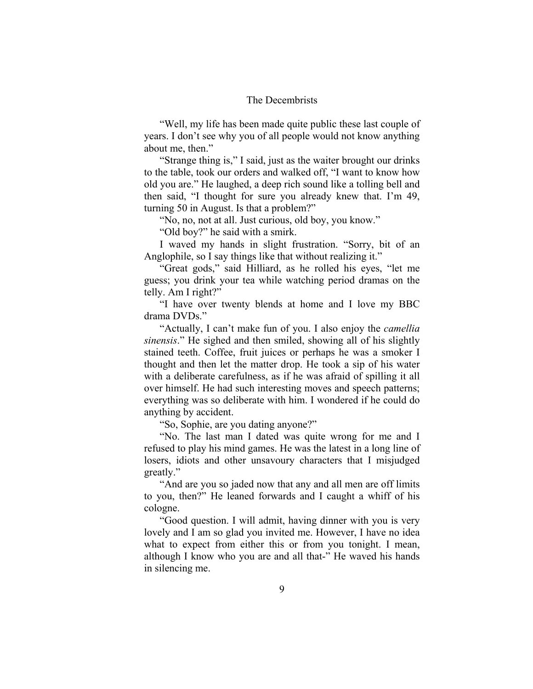"Well, my life has been made quite public these last couple of years. I don't see why you of all people would not know anything about me, then."

"Strange thing is," I said, just as the waiter brought our drinks to the table, took our orders and walked off, "I want to know how old you are." He laughed, a deep rich sound like a tolling bell and then said, "I thought for sure you already knew that. I'm 49, turning 50 in August. Is that a problem?"

"No, no, not at all. Just curious, old boy, you know."

"Old boy?" he said with a smirk.

I waved my hands in slight frustration. "Sorry, bit of an Anglophile, so I say things like that without realizing it."

"Great gods," said Hilliard, as he rolled his eyes, "let me guess; you drink your tea while watching period dramas on the telly. Am I right?"

"I have over twenty blends at home and I love my BBC drama DVDs."

"Actually, I can't make fun of you. I also enjoy the *camellia sinensis*." He sighed and then smiled, showing all of his slightly stained teeth. Coffee, fruit juices or perhaps he was a smoker I thought and then let the matter drop. He took a sip of his water with a deliberate carefulness, as if he was afraid of spilling it all over himself. He had such interesting moves and speech patterns; everything was so deliberate with him. I wondered if he could do anything by accident.

"So, Sophie, are you dating anyone?"

"No. The last man I dated was quite wrong for me and I refused to play his mind games. He was the latest in a long line of losers, idiots and other unsavoury characters that I misjudged greatly."

"And are you so jaded now that any and all men are off limits to you, then?" He leaned forwards and I caught a whiff of his cologne.

"Good question. I will admit, having dinner with you is very lovely and I am so glad you invited me. However, I have no idea what to expect from either this or from you tonight. I mean, although I know who you are and all that-" He waved his hands in silencing me.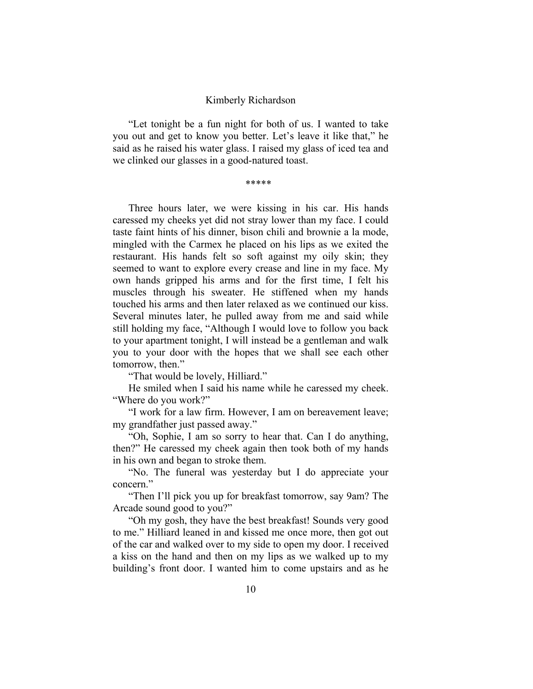"Let tonight be a fun night for both of us. I wanted to take you out and get to know you better. Let's leave it like that," he said as he raised his water glass. I raised my glass of iced tea and we clinked our glasses in a good-natured toast.

\*\*\*\*\*

Three hours later, we were kissing in his car. His hands caressed my cheeks yet did not stray lower than my face. I could taste faint hints of his dinner, bison chili and brownie a la mode, mingled with the Carmex he placed on his lips as we exited the restaurant. His hands felt so soft against my oily skin; they seemed to want to explore every crease and line in my face. My own hands gripped his arms and for the first time, I felt his muscles through his sweater. He stiffened when my hands touched his arms and then later relaxed as we continued our kiss. Several minutes later, he pulled away from me and said while still holding my face, "Although I would love to follow you back to your apartment tonight, I will instead be a gentleman and walk you to your door with the hopes that we shall see each other tomorrow, then."

"That would be lovely, Hilliard."

He smiled when I said his name while he caressed my cheek. "Where do you work?"

"I work for a law firm. However, I am on bereavement leave; my grandfather just passed away."

"Oh, Sophie, I am so sorry to hear that. Can I do anything, then?" He caressed my cheek again then took both of my hands in his own and began to stroke them.

"No. The funeral was yesterday but I do appreciate your concern."

"Then I'll pick you up for breakfast tomorrow, say 9am? The Arcade sound good to you?"

"Oh my gosh, they have the best breakfast! Sounds very good to me." Hilliard leaned in and kissed me once more, then got out of the car and walked over to my side to open my door. I received a kiss on the hand and then on my lips as we walked up to my building's front door. I wanted him to come upstairs and as he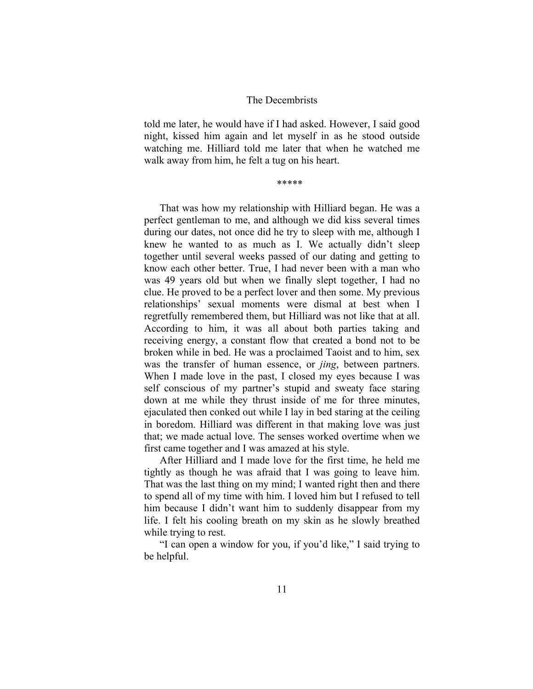told me later, he would have if I had asked. However, I said good night, kissed him again and let myself in as he stood outside watching me. Hilliard told me later that when he watched me walk away from him, he felt a tug on his heart.

\*\*\*\*\*

That was how my relationship with Hilliard began. He was a perfect gentleman to me, and although we did kiss several times during our dates, not once did he try to sleep with me, although I knew he wanted to as much as I. We actually didn't sleep together until several weeks passed of our dating and getting to know each other better. True, I had never been with a man who was 49 years old but when we finally slept together, I had no clue. He proved to be a perfect lover and then some. My previous relationships' sexual moments were dismal at best when I regretfully remembered them, but Hilliard was not like that at all. According to him, it was all about both parties taking and receiving energy, a constant flow that created a bond not to be broken while in bed. He was a proclaimed Taoist and to him, sex was the transfer of human essence, or *jing*, between partners. When I made love in the past, I closed my eyes because I was self conscious of my partner's stupid and sweaty face staring down at me while they thrust inside of me for three minutes, ejaculated then conked out while I lay in bed staring at the ceiling in boredom. Hilliard was different in that making love was just that; we made actual love. The senses worked overtime when we first came together and I was amazed at his style.

After Hilliard and I made love for the first time, he held me tightly as though he was afraid that I was going to leave him. That was the last thing on my mind; I wanted right then and there to spend all of my time with him. I loved him but I refused to tell him because I didn't want him to suddenly disappear from my life. I felt his cooling breath on my skin as he slowly breathed while trying to rest.

"I can open a window for you, if you'd like," I said trying to be helpful.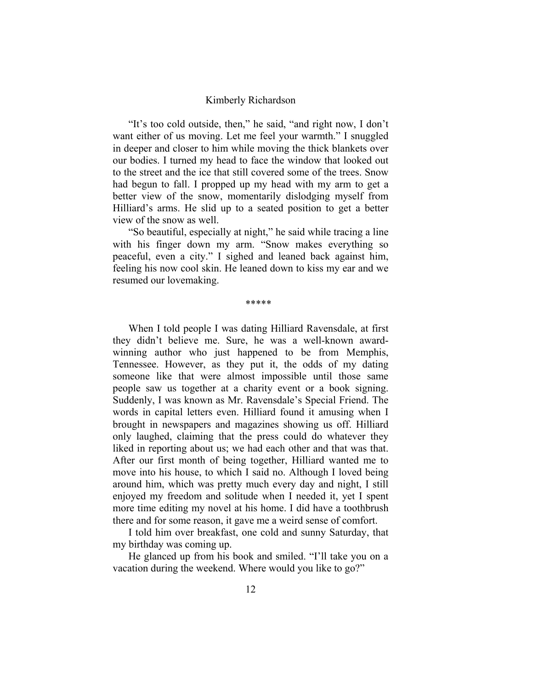"It's too cold outside, then," he said, "and right now, I don't want either of us moving. Let me feel your warmth." I snuggled in deeper and closer to him while moving the thick blankets over our bodies. I turned my head to face the window that looked out to the street and the ice that still covered some of the trees. Snow had begun to fall. I propped up my head with my arm to get a better view of the snow, momentarily dislodging myself from Hilliard's arms. He slid up to a seated position to get a better view of the snow as well.

"So beautiful, especially at night," he said while tracing a line with his finger down my arm. "Snow makes everything so peaceful, even a city." I sighed and leaned back against him, feeling his now cool skin. He leaned down to kiss my ear and we resumed our lovemaking.

\*\*\*\*\*

When I told people I was dating Hilliard Ravensdale, at first they didn't believe me. Sure, he was a well-known awardwinning author who just happened to be from Memphis, Tennessee. However, as they put it, the odds of my dating someone like that were almost impossible until those same people saw us together at a charity event or a book signing. Suddenly, I was known as Mr. Ravensdale's Special Friend. The words in capital letters even. Hilliard found it amusing when I brought in newspapers and magazines showing us off. Hilliard only laughed, claiming that the press could do whatever they liked in reporting about us; we had each other and that was that. After our first month of being together, Hilliard wanted me to move into his house, to which I said no. Although I loved being around him, which was pretty much every day and night, I still enjoyed my freedom and solitude when I needed it, yet I spent more time editing my novel at his home. I did have a toothbrush there and for some reason, it gave me a weird sense of comfort.

I told him over breakfast, one cold and sunny Saturday, that my birthday was coming up.

He glanced up from his book and smiled. "I'll take you on a vacation during the weekend. Where would you like to go?"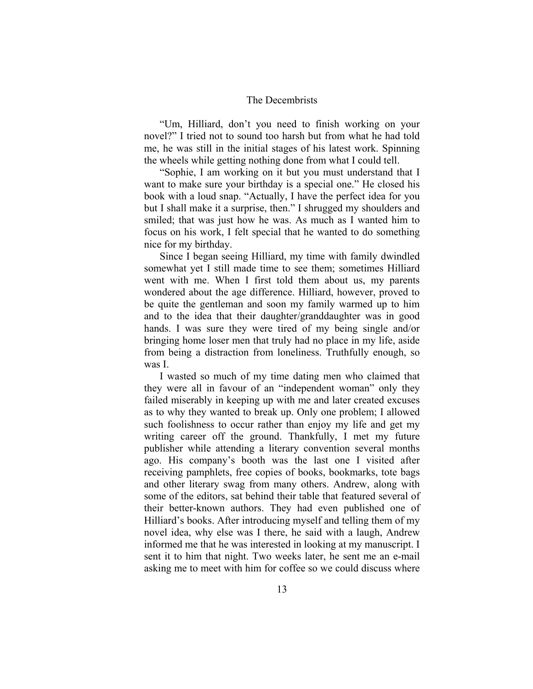"Um, Hilliard, don't you need to finish working on your novel?" I tried not to sound too harsh but from what he had told me, he was still in the initial stages of his latest work. Spinning the wheels while getting nothing done from what I could tell.

"Sophie, I am working on it but you must understand that I want to make sure your birthday is a special one." He closed his book with a loud snap. "Actually, I have the perfect idea for you but I shall make it a surprise, then." I shrugged my shoulders and smiled; that was just how he was. As much as I wanted him to focus on his work, I felt special that he wanted to do something nice for my birthday.

Since I began seeing Hilliard, my time with family dwindled somewhat yet I still made time to see them; sometimes Hilliard went with me. When I first told them about us, my parents wondered about the age difference. Hilliard, however, proved to be quite the gentleman and soon my family warmed up to him and to the idea that their daughter/granddaughter was in good hands. I was sure they were tired of my being single and/or bringing home loser men that truly had no place in my life, aside from being a distraction from loneliness. Truthfully enough, so was I.

I wasted so much of my time dating men who claimed that they were all in favour of an "independent woman" only they failed miserably in keeping up with me and later created excuses as to why they wanted to break up. Only one problem; I allowed such foolishness to occur rather than enjoy my life and get my writing career off the ground. Thankfully, I met my future publisher while attending a literary convention several months ago. His company's booth was the last one I visited after receiving pamphlets, free copies of books, bookmarks, tote bags and other literary swag from many others. Andrew, along with some of the editors, sat behind their table that featured several of their better-known authors. They had even published one of Hilliard's books. After introducing myself and telling them of my novel idea, why else was I there, he said with a laugh, Andrew informed me that he was interested in looking at my manuscript. I sent it to him that night. Two weeks later, he sent me an e-mail asking me to meet with him for coffee so we could discuss where